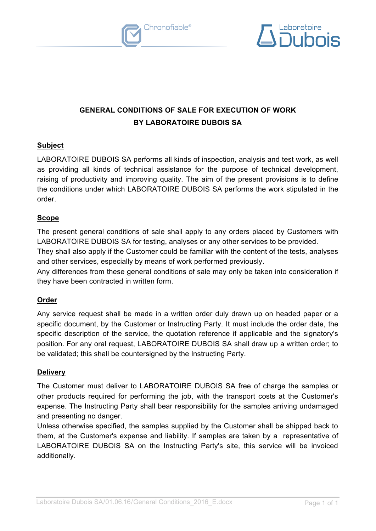



# **GENERAL CONDITIONS OF SALE FOR EXECUTION OF WORK BY LABORATOIRE DUBOIS SA**

# **Subject**

LABORATOIRE DUBOIS SA performs all kinds of inspection, analysis and test work, as well as providing all kinds of technical assistance for the purpose of technical development, raising of productivity and improving quality. The aim of the present provisions is to define the conditions under which LABORATOIRE DUBOIS SA performs the work stipulated in the order.

## **Scope**

The present general conditions of sale shall apply to any orders placed by Customers with LABORATOIRE DUBOIS SA for testing, analyses or any other services to be provided.

They shall also apply if the Customer could be familiar with the content of the tests, analyses and other services, especially by means of work performed previously.

Any differences from these general conditions of sale may only be taken into consideration if they have been contracted in written form.

# **Order**

Any service request shall be made in a written order duly drawn up on headed paper or a specific document, by the Customer or Instructing Party. It must include the order date, the specific description of the service, the quotation reference if applicable and the signatory's position. For any oral request, LABORATOIRE DUBOIS SA shall draw up a written order; to be validated; this shall be countersigned by the Instructing Party.

# **Delivery**

The Customer must deliver to LABORATOIRE DUBOIS SA free of charge the samples or other products required for performing the job, with the transport costs at the Customer's expense. The Instructing Party shall bear responsibility for the samples arriving undamaged and presenting no danger.

Unless otherwise specified, the samples supplied by the Customer shall be shipped back to them, at the Customer's expense and liability. If samples are taken by a representative of LABORATOIRE DUBOIS SA on the Instructing Party's site, this service will be invoiced additionally.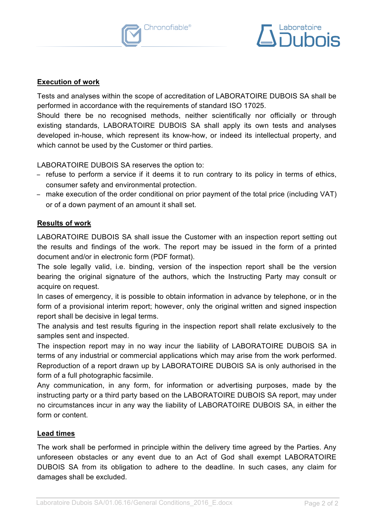



#### **Execution of work Execution of work**

Tests and analyses within the scope of accreditation of LABORATOIRE DUBOIS SA shall be Tests and analyses within the scope of accreditation of LABORATOIRE DUBOIS SA shall be performed in accordance with the requirements of standard ISO 17025. performed in accordance with the requirements of standard ISO 17025.

Should there be no recognised methods, neither scientifically nor officially or through Should there be no recognised methods, neither scientifically nor officially or through existing standards, LABORATOIRE DUBOIS SA shall apply its own tests and analyses existing standards, LABORATOIRE DUBOIS SA shall apply its own tests and analyses developed in-house, which represent its know-how, or indeed its intellectual property, and developed in-house, which represent its know-how, or indeed its intellectual property, and which cannot be used by the Customer or third parties. which cannot be used by the Customer or third parties.

LABORATOIRE DUBOIS SA reserves the option to: LABORATOIRE DUBOIS SA reserves the option to:

- − refuse to perform a service if it deems it to run contrary to its policy in terms of ethics, − refuse to perform a service if it deems it to run contrary to its policy in terms of ethics, consumer safety and environmental protection. consumer safety and environmental protection.
- − make execution of the order conditional on prior payment of the total price (including VAT) − make execution of the order conditional on prior payment of the total price (including VAT) or of a down payment of an amount it shall set. a down payment of an amount it shall set.

#### **Results of work work**

LABORATOIRE DUBOIS SA shall issue the Customer with an inspection report setting out LABORATOIRE DUBOIS SA shall issue the Customer with an inspection report setting out the results and findings of the work. The report may be issued in the form of a printed document and/or in electronic form (PDF format). document and/or in electronic form (PDF format).

The sole legally valid, i.e. binding, version of the inspection report shall be the version The sole legally valid, i.e. binding, version of the inspection report shall be the version bearing the original signature of the authors, which the Instructing Party may consult or bearing the original signature of the authors, which the Instructing Party may consult or acquire on request.

In cases of emergency, it is possible to obtain information in advance by telephone, or in the In cases of emergency, it is possible to obtain information in advance by telephone, or in the form of a provisional interim report; however, only the original written and signed inspection form of a provisional interim report; however, only the original written and signed inspection report shall be decisive in legal terms. report shall be decisive in legal terms.

The analysis and test results figuring in the inspection report shall relate exclusively to the The analysis and test results figuring in the inspection report shall relate exclusively to the samples sent and inspected. samples sent and inspected.

The inspection report may in no way incur the liability of LABORATOIRE DUBOIS SA in The inspection report may in no way incur the liability of LABORATOIRE DUBOIS SA in terms of any industrial or commercial applications which may arise from the work performed. terms of any industrial or commercial applications which may arise from the work performed. Reproduction of a report drawn up by LABORATOIRE DUBOIS SA is only authorised in the Reproduction of a report drawn up by LABORATOIRE DUBOIS SA is only authorised in the form of a full photographic facsimile. form of a full photographic facsimile.

Any communication, in any form, for information or advertising purposes, made by the Any communication, in any form, for information or advertising purposes, made by the instructing party or a third party based on the LABORATOIRE DUBOIS SA report, may under instructing party or a third party based on the LABORATOIRE DUBOIS SA report, may under no circumstances incur in any way the liability of LABORATOIRE DUBOIS SA, in either the no circumstances incur in any way the liability of LABORATOIRE DUBOIS SA, in either the form or content. form or content.

## **Lead times Lead times**

The work shall be performed in principle within the delivery time agreed by the Parties. Any The work shall be performed in principle within the delivery time agreed by the Parties. Any unforeseen obstacles or any event due to an Act of God shall exempt LABORATOIRE unforeseen obstacles or any event due to an Act of God shall exempt LABORATOIRE DUBOIS SA from its obligation to adhere to the deadline. In such cases, any claim for DUBOIS SA from its obligation to adhere to the deadline. In such cases, any claim for damages shall be excluded. damages shall be excluded.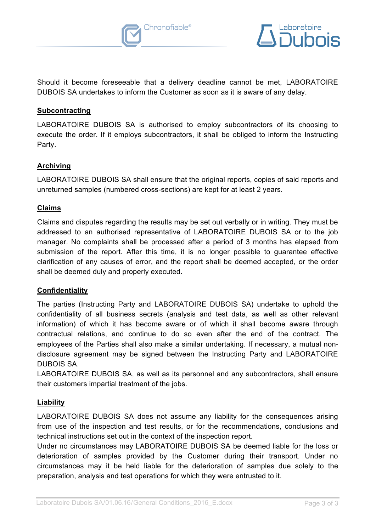



Should it become foreseeable that a delivery deadline cannot be met, LABORATOIRE Should it become foreseeable that a delivery deadline cannot be met, LABORATOIRE DUBOIS SA undertakes to inform the Customer as soon as it is aware of any delay.

## **Subcontracting Subcontracting**

LABORATOIRE DUBOIS SA is authorised to employ subcontractors of its choosing to LABORATOIRE DUBOIS SA is authorised to employ subcontractors of its choosing to<br>execute the order. If it employs subcontractors, it shall be obliged to inform the Instructing Party.

## **Archiving Archiving**

LABORATOIRE DUBOIS SA shall ensure that the original reports, copies of said reports and unreturned samples (numbered cross-sections) are kept for at least 2 years.

#### **Claims**

Claims and disputes regarding the results may be set out verbally or in writing. They must be addressed to an authorised representative of LABORATOIRE DUBOIS SA or to the job manager. No complaints shall be processed after a period of 3 months has elapsed from submission of the report. After this time, it is no longer possible to guarantee effective clarification of any causes of error, and the report shall be deemed accepted, or the order shall be deemed duly and properly executed. shall be deemed duly and properly executed. LABORATOIRE DUBOIS SA shall ensure that the original reports, copies of said reports and<br>unreturned samples (numbered cross-sections) are kept for at least 2 years.<br>Claims<br>Claims<br>claims and disputes regarding the results m

# **Confidentiality Confidentiality**

The parties (Instructing Party and LABORATOIRE DUBOIS SA) undertake to uphold the The parties (Instructing Party and LABORATOIRE DUBOIS SA) undertake to uphold the<br>confidentiality of all business secrets (analysis and test data, as well as other relevant information) of which it has become aware or of which it shall become aware through contractual relations, and continue to do so even after the end of the contract. The contractual relations, and continue to do so even after the end of the contract. The<br>employees of the Parties shall also make a similar undertaking. If necessary, a mutual nondisclosure agreement may be signed between the Instructing Party and LABORATOIRE DUBOIS SA.

LABORATOIRE DUBOIS SA, as well as its personnel and any subcontractors, shall ensure LABORATOIRE DUBOIS SA, as well as its personnel and any subcontractors, shall ensure their customers impartial treatment of the jobs. their customers impartial treatment of the jobs.

## **Liability Liability**

LABORATOIRE DUBOIS SA does not assume any liability for the consequences arising from use of the inspection and test results, or for the recommendations, conclusions and technical instructions set out in the context of the inspection report. from use of the inspection and test results, or for the recommendations, conclusions and<br>technical instructions set out in the context of the inspection report.<br>Under no circumstances may LABORATOIRE DUBOIS SA be deemed li

deterioration of samples provided by the Customer during their transport. Under no deterioration of samples provided by the Customer during their transport. Under no circumstances may it be held liable for the deterioration of samples due solely to the<br>preparation, analysis and test operations for which they were entrusted to it. preparation, analysis and test operations for which they were entrusted to it.